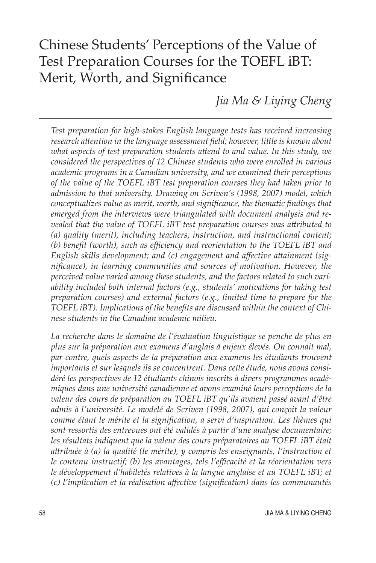# Chinese Students' Perceptions of the Value of Test Preparation Courses for the TOEFL iBT: Merit, Worth, and Significance

*Jia Ma & Liying Cheng*

*Test preparation for high-stakes English language tests has received increasing research attention in the language assessment field; however, little is known about what aspects of test preparation students attend to and value. In this study, we considered the perspectives of 12 Chinese students who were enrolled in various academic programs in a Canadian university, and we examined their perceptions of the value of the TOEFL iBT test preparation courses they had taken prior to admission to that university. Drawing on Scriven's (1998, 2007) model, which conceptualizes value as merit, worth, and significance, the thematic findings that emerged from the interviews were triangulated with document analysis and revealed that the value of TOEFL iBT test preparation courses was attributed to (a) quality (merit), including teachers, instruction, and instructional content; (b) benefit (worth), such as efficiency and reorientation to the TOEFL iBT and English skills development; and (c) engagement and affective attainment (significance), in learning communities and sources of motivation. However, the perceived value varied among these students, and the factors related to such variability included both internal factors (e.g., students' motivations for taking test preparation courses) and external factors (e.g., limited time to prepare for the TOEFL iBT). Implications of the benefits are discussed within the context of Chinese students in the Canadian academic milieu.* 

La recherche dans le domaine de l'évaluation linguistique se penche de plus en *plus sur la préparation aux examens d'anglais ā enjeux élevés. On connait mal,*  par contre, quels aspects de la préparation aux examens les étudiants trouvent *importants et sur lesquels ils se concentrent. Dans cette étude, nous avons considéré les perspectives de 12 étudiants chinois inscrits à divers programmes académiques dans une université canadienne et avons examiné leurs perceptions de la valeur des cours de préparation au TOEFL iBT qu'ils avaient passé avant d'être admis à l'université. Le modelé de Scriven (1998, 2007), qui conçoit la valeur comme étant le mérite et la signification, a servi d'inspiration. Les thèmes qui sont ressortis des entrevues ont été validés à partir d'une analyse documentaire;*  les résultats indiquent que la valeur des cours préparatoires au TOEFL *iBT* était *attribuée à (a) la qualité (le mérite), y compris les enseignants, l'instruction et le contenu instructif; (b) les avantages, tels l'efficacité et la réorientation vers*  le développement d'habiletés relatives à la langue anglaise et au TOEFL *iBT*; et *(c) l'implication et la réalisation affective (signification) dans les communautés*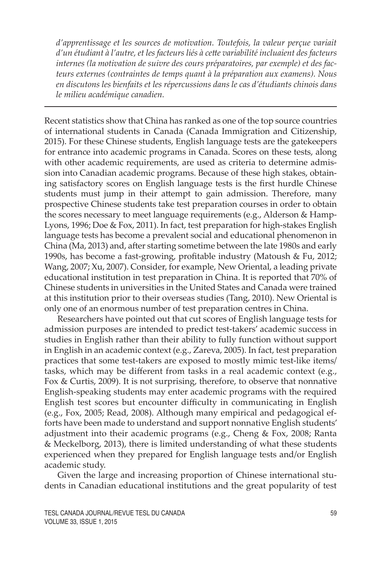*d'apprentissage et les sources de motivation. Toutefois, la valeur perçue variait d'un étudiant à l'autre, et les facteurs liés à cette variabilité incluaient des facteurs internes (la motivation de suivre des cours préparatoires, par exemple) et des facteurs externes (contraintes de temps quant à la préparation aux examens). Nous en discutons les bienfaits et les répercussions dans le cas d'étudiants chinois dans le milieu académique canadien.* 

Recent statistics show that China has ranked as one of the top source countries of international students in Canada (Canada Immigration and Citizenship, 2015). For these Chinese students, English language tests are the gatekeepers for entrance into academic programs in Canada. Scores on these tests, along with other academic requirements, are used as criteria to determine admission into Canadian academic programs. Because of these high stakes, obtaining satisfactory scores on English language tests is the first hurdle Chinese students must jump in their attempt to gain admission. Therefore, many prospective Chinese students take test preparation courses in order to obtain the scores necessary to meet language requirements (e.g., Alderson & Hamp-Lyons, 1996; Doe & Fox, 2011). In fact, test preparation for high-stakes English language tests has become a prevalent social and educational phenomenon in China (Ma, 2013) and, after starting sometime between the late 1980s and early 1990s, has become a fast-growing, profitable industry (Matoush & Fu, 2012; Wang, 2007; Xu, 2007). Consider, for example, New Oriental, a leading private educational institution in test preparation in China. It is reported that 70% of Chinese students in universities in the United States and Canada were trained at this institution prior to their overseas studies (Tang, 2010). New Oriental is only one of an enormous number of test preparation centres in China.

Researchers have pointed out that cut scores of English language tests for admission purposes are intended to predict test-takers' academic success in studies in English rather than their ability to fully function without support in English in an academic context (e.g., Zareva, 2005). In fact, test preparation practices that some test-takers are exposed to mostly mimic test-like items/ tasks, which may be different from tasks in a real academic context (e.g., Fox & Curtis, 2009). It is not surprising, therefore, to observe that nonnative English-speaking students may enter academic programs with the required English test scores but encounter difficulty in communicating in English (e.g., Fox, 2005; Read, 2008). Although many empirical and pedagogical efforts have been made to understand and support nonnative English students' adjustment into their academic programs (e.g., Cheng & Fox, 2008; Ranta & Meckelborg, 2013), there is limited understanding of what these students experienced when they prepared for English language tests and/or English academic study.

Given the large and increasing proportion of Chinese international students in Canadian educational institutions and the great popularity of test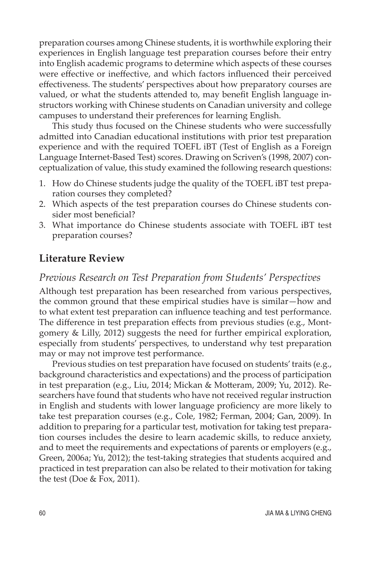preparation courses among Chinese students, it is worthwhile exploring their experiences in English language test preparation courses before their entry into English academic programs to determine which aspects of these courses were effective or ineffective, and which factors influenced their perceived effectiveness. The students' perspectives about how preparatory courses are valued, or what the students attended to, may benefit English language instructors working with Chinese students on Canadian university and college campuses to understand their preferences for learning English.

This study thus focused on the Chinese students who were successfully admitted into Canadian educational institutions with prior test preparation experience and with the required TOEFL iBT (Test of English as a Foreign Language Internet-Based Test) scores. Drawing on Scriven's (1998, 2007) conceptualization of value, this study examined the following research questions:

- 1. How do Chinese students judge the quality of the TOEFL iBT test preparation courses they completed?
- 2. Which aspects of the test preparation courses do Chinese students consider most beneficial?
- 3. What importance do Chinese students associate with TOEFL iBT test preparation courses?

### **Literature Review**

#### *Previous Research on Test Preparation from Students' Perspectives*

Although test preparation has been researched from various perspectives, the common ground that these empirical studies have is similar—how and to what extent test preparation can influence teaching and test performance. The difference in test preparation effects from previous studies (e.g., Montgomery & Lilly, 2012) suggests the need for further empirical exploration, especially from students' perspectives, to understand why test preparation may or may not improve test performance.

Previous studies on test preparation have focused on students' traits (e.g., background characteristics and expectations) and the process of participation in test preparation (e.g., Liu, 2014; Mickan & Motteram, 2009; Yu, 2012). Researchers have found that students who have not received regular instruction in English and students with lower language proficiency are more likely to take test preparation courses (e.g., Cole, 1982; Ferman, 2004; Gan, 2009). In addition to preparing for a particular test, motivation for taking test preparation courses includes the desire to learn academic skills, to reduce anxiety, and to meet the requirements and expectations of parents or employers (e.g., Green, 2006a; Yu, 2012); the test-taking strategies that students acquired and practiced in test preparation can also be related to their motivation for taking the test (Doe  $& Fox, 2011$ ).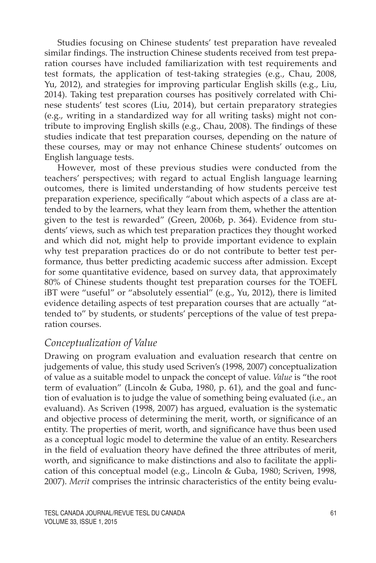Studies focusing on Chinese students' test preparation have revealed similar findings. The instruction Chinese students received from test preparation courses have included familiarization with test requirements and test formats, the application of test-taking strategies (e.g., Chau, 2008, Yu, 2012), and strategies for improving particular English skills (e.g., Liu, 2014). Taking test preparation courses has positively correlated with Chinese students' test scores (Liu, 2014), but certain preparatory strategies (e.g., writing in a standardized way for all writing tasks) might not contribute to improving English skills (e.g., Chau, 2008). The findings of these studies indicate that test preparation courses, depending on the nature of these courses, may or may not enhance Chinese students' outcomes on English language tests.

However, most of these previous studies were conducted from the teachers' perspectives; with regard to actual English language learning outcomes, there is limited understanding of how students perceive test preparation experience, specifically "about which aspects of a class are attended to by the learners, what they learn from them, whether the attention given to the test is rewarded" (Green, 2006b, p. 364). Evidence from students' views, such as which test preparation practices they thought worked and which did not, might help to provide important evidence to explain why test preparation practices do or do not contribute to better test performance, thus better predicting academic success after admission. Except for some quantitative evidence, based on survey data, that approximately 80% of Chinese students thought test preparation courses for the TOEFL iBT were "useful" or "absolutely essential" (e.g., Yu, 2012), there is limited evidence detailing aspects of test preparation courses that are actually "attended to" by students, or students' perceptions of the value of test preparation courses.

#### *Conceptualization of Value*

Drawing on program evaluation and evaluation research that centre on judgements of value, this study used Scriven's (1998, 2007) conceptualization of value as a suitable model to unpack the concept of value. *Value* is "the root term of evaluation" (Lincoln & Guba, 1980, p. 61), and the goal and function of evaluation is to judge the value of something being evaluated (i.e., an evaluand). As Scriven (1998, 2007) has argued, evaluation is the systematic and objective process of determining the merit, worth, or significance of an entity. The properties of merit, worth, and significance have thus been used as a conceptual logic model to determine the value of an entity. Researchers in the field of evaluation theory have defined the three attributes of merit, worth, and significance to make distinctions and also to facilitate the application of this conceptual model (e.g., Lincoln & Guba, 1980; Scriven, 1998, 2007). *Merit* comprises the intrinsic characteristics of the entity being evalu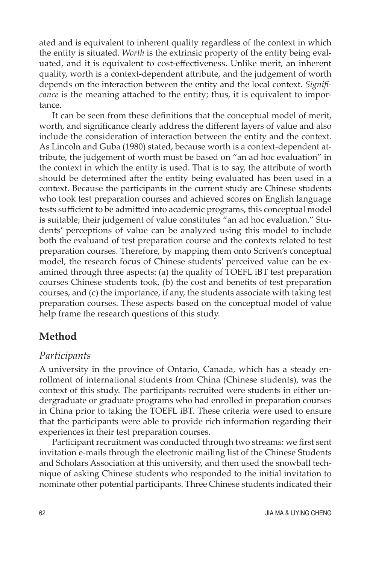ated and is equivalent to inherent quality regardless of the context in which the entity is situated. *Worth* is the extrinsic property of the entity being evaluated, and it is equivalent to cost-effectiveness. Unlike merit, an inherent quality, worth is a context-dependent attribute, and the judgement of worth depends on the interaction between the entity and the local context. *Significance* is the meaning attached to the entity; thus, it is equivalent to importance.

It can be seen from these definitions that the conceptual model of merit, worth, and significance clearly address the different layers of value and also include the consideration of interaction between the entity and the context. As Lincoln and Guba (1980) stated, because worth is a context-dependent attribute, the judgement of worth must be based on "an ad hoc evaluation" in the context in which the entity is used. That is to say, the attribute of worth should be determined after the entity being evaluated has been used in a context. Because the participants in the current study are Chinese students who took test preparation courses and achieved scores on English language tests sufficient to be admitted into academic programs, this conceptual model is suitable; their judgement of value constitutes "an ad hoc evaluation." Students' perceptions of value can be analyzed using this model to include both the evaluand of test preparation course and the contexts related to test preparation courses. Therefore, by mapping them onto Scriven's conceptual model, the research focus of Chinese students' perceived value can be examined through three aspects: (a) the quality of TOEFL iBT test preparation courses Chinese students took, (b) the cost and benefits of test preparation courses, and (c) the importance, if any, the students associate with taking test preparation courses. These aspects based on the conceptual model of value help frame the research questions of this study.

# **Method**

#### *Participants*

A university in the province of Ontario, Canada, which has a steady enrollment of international students from China (Chinese students), was the context of this study. The participants recruited were students in either undergraduate or graduate programs who had enrolled in preparation courses in China prior to taking the TOEFL iBT. These criteria were used to ensure that the participants were able to provide rich information regarding their experiences in their test preparation courses.

Participant recruitment was conducted through two streams: we first sent invitation e-mails through the electronic mailing list of the Chinese Students and Scholars Association at this university, and then used the snowball technique of asking Chinese students who responded to the initial invitation to nominate other potential participants. Three Chinese students indicated their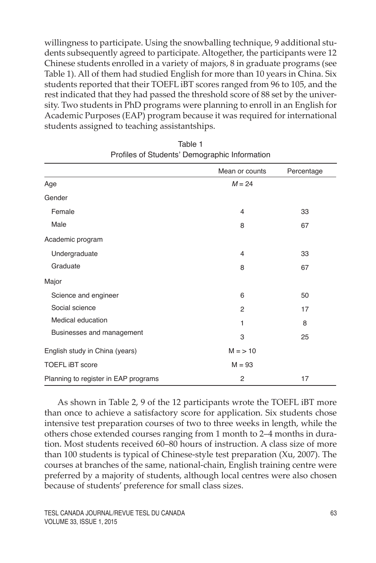willingness to participate. Using the snowballing technique, 9 additional students subsequently agreed to participate. Altogether, the participants were 12 Chinese students enrolled in a variety of majors, 8 in graduate programs (see Table 1). All of them had studied English for more than 10 years in China. Six students reported that their TOEFL iBT scores ranged from 96 to 105, and the rest indicated that they had passed the threshold score of 88 set by the university. Two students in PhD programs were planning to enroll in an English for Academic Purposes (EAP) program because it was required for international students assigned to teaching assistantships.

|                                      | Mean or counts | Percentage |
|--------------------------------------|----------------|------------|
| Age                                  | $M = 24$       |            |
| Gender                               |                |            |
| Female                               | $\overline{4}$ | 33         |
| Male                                 | 8              | 67         |
| Academic program                     |                |            |
| Undergraduate                        | $\overline{4}$ | 33         |
| Graduate                             | 8              | 67         |
| Major                                |                |            |
| Science and engineer                 | 6              | 50         |
| Social science                       | 2              | 17         |
| Medical education                    | 1              | 8          |
| Businesses and management            | 3              | 25         |
| English study in China (years)       | $M = 10$       |            |
| <b>TOEFL IBT score</b>               | $M = 93$       |            |
| Planning to register in EAP programs | 2              | 17         |

| Table 1                                       |
|-----------------------------------------------|
| Profiles of Students' Demographic Information |

As shown in Table 2, 9 of the 12 participants wrote the TOEFL iBT more than once to achieve a satisfactory score for application. Six students chose intensive test preparation courses of two to three weeks in length, while the others chose extended courses ranging from 1 month to 2–4 months in duration. Most students received 60–80 hours of instruction. A class size of more than 100 students is typical of Chinese-style test preparation (Xu, 2007). The courses at branches of the same, national-chain, English training centre were preferred by a majority of students, although local centres were also chosen because of students' preference for small class sizes.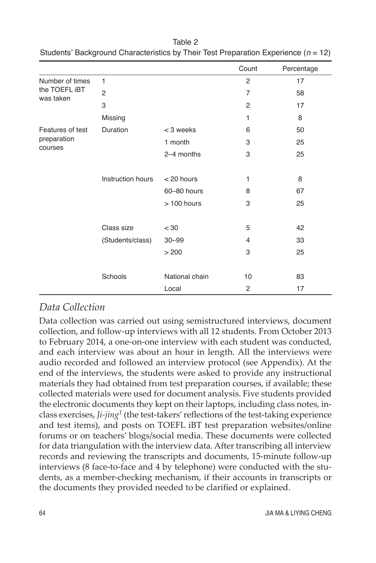|                                               |                   |                | Count          | Percentage |
|-----------------------------------------------|-------------------|----------------|----------------|------------|
| Number of times<br>the TOEFL iBT<br>was taken | $\mathbf{1}$      |                | $\overline{2}$ | 17         |
|                                               | $\overline{2}$    |                | 7              | 58         |
|                                               | 3                 |                | $\overline{2}$ | 17         |
|                                               | Missing           |                | 1              | 8          |
| Features of test<br>preparation<br>courses    | Duration          | $<$ 3 weeks    | 6              | 50         |
|                                               |                   | 1 month        | 3              | 25         |
|                                               |                   | 2-4 months     | 3              | 25         |
|                                               |                   |                |                |            |
|                                               | Instruction hours | $<$ 20 hours   | 1              | 8          |
|                                               |                   | 60-80 hours    | 8              | 67         |
|                                               |                   | $>100$ hours   | 3              | 25         |
|                                               |                   |                |                |            |
|                                               | Class size        | < 30           | 5              | 42         |
|                                               | (Students/class)  | $30 - 99$      | $\overline{4}$ | 33         |
|                                               |                   | > 200          | 3              | 25         |
|                                               |                   |                |                |            |
|                                               | Schools           | National chain | 10             | 83         |
|                                               |                   | Local          | $\overline{2}$ | 17         |

|  | Table 2 |                                                                                        |  |
|--|---------|----------------------------------------------------------------------------------------|--|
|  |         | Students' Background Characteristics by Their Test Preparation Experience ( $n = 12$ ) |  |

# *Data Collection*

Data collection was carried out using semistructured interviews, document collection, and follow-up interviews with all 12 students. From October 2013 to February 2014, a one-on-one interview with each student was conducted, and each interview was about an hour in length. All the interviews were audio recorded and followed an interview protocol (see Appendix). At the end of the interviews, the students were asked to provide any instructional materials they had obtained from test preparation courses, if available; these collected materials were used for document analysis. Five students provided the electronic documents they kept on their laptops, including class notes, inclass exercises, *Ji-jing<sup>1</sup>* (the test-takers' reflections of the test-taking experience and test items), and posts on TOEFL iBT test preparation websites/online forums or on teachers' blogs/social media. These documents were collected for data triangulation with the interview data. After transcribing all interview records and reviewing the transcripts and documents, 15-minute follow-up interviews (8 face-to-face and 4 by telephone) were conducted with the students, as a member-checking mechanism, if their accounts in transcripts or the documents they provided needed to be clarified or explained.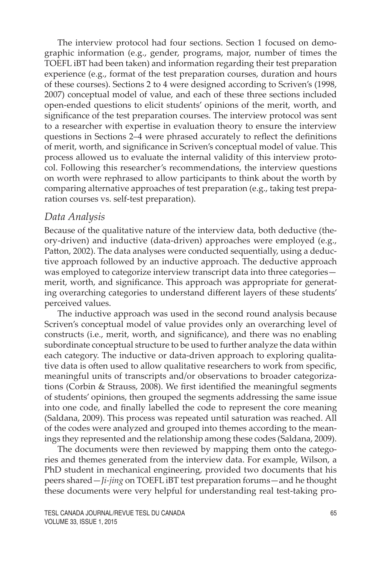The interview protocol had four sections. Section 1 focused on demographic information (e.g., gender, programs, major, number of times the TOEFL iBT had been taken) and information regarding their test preparation experience (e.g., format of the test preparation courses, duration and hours of these courses). Sections 2 to 4 were designed according to Scriven's (1998, 2007) conceptual model of value, and each of these three sections included open-ended questions to elicit students' opinions of the merit, worth, and significance of the test preparation courses. The interview protocol was sent to a researcher with expertise in evaluation theory to ensure the interview questions in Sections 2–4 were phrased accurately to reflect the definitions of merit, worth, and significance in Scriven's conceptual model of value. This process allowed us to evaluate the internal validity of this interview protocol. Following this researcher's recommendations, the interview questions on worth were rephrased to allow participants to think about the worth by comparing alternative approaches of test preparation (e.g., taking test preparation courses vs. self-test preparation).

#### *Data Analysis*

Because of the qualitative nature of the interview data, both deductive (theory-driven) and inductive (data-driven) approaches were employed (e.g., Patton, 2002). The data analyses were conducted sequentially, using a deductive approach followed by an inductive approach. The deductive approach was employed to categorize interview transcript data into three categories merit, worth, and significance. This approach was appropriate for generating overarching categories to understand different layers of these students' perceived values.

The inductive approach was used in the second round analysis because Scriven's conceptual model of value provides only an overarching level of constructs (i.e., merit, worth, and significance), and there was no enabling subordinate conceptual structure to be used to further analyze the data within each category. The inductive or data-driven approach to exploring qualitative data is often used to allow qualitative researchers to work from specific, meaningful units of transcripts and/or observations to broader categorizations (Corbin & Strauss, 2008). We first identified the meaningful segments of students' opinions, then grouped the segments addressing the same issue into one code, and finally labelled the code to represent the core meaning (Saldana, 2009). This process was repeated until saturation was reached. All of the codes were analyzed and grouped into themes according to the meanings they represented and the relationship among these codes (Saldana, 2009).

The documents were then reviewed by mapping them onto the categories and themes generated from the interview data. For example, Wilson, a PhD student in mechanical engineering, provided two documents that his peers shared—*Ji-jing* on TOEFL iBT test preparation forums—and he thought these documents were very helpful for understanding real test-taking pro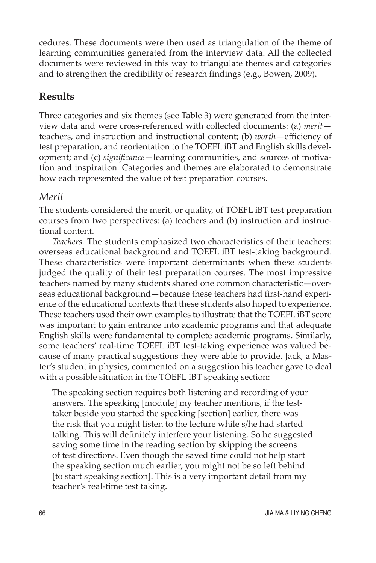cedures. These documents were then used as triangulation of the theme of learning communities generated from the interview data. All the collected documents were reviewed in this way to triangulate themes and categories and to strengthen the credibility of research findings (e.g., Bowen, 2009).

# **Results**

Three categories and six themes (see Table 3) were generated from the interview data and were cross-referenced with collected documents: (a) *merit* teachers, and instruction and instructional content; (b) *worth*—efficiency of test preparation, and reorientation to the TOEFL iBT and English skills development; and (c) *significance*—learning communities, and sources of motivation and inspiration. Categories and themes are elaborated to demonstrate how each represented the value of test preparation courses.

# *Merit*

The students considered the merit, or quality, of TOEFL iBT test preparation courses from two perspectives: (a) teachers and (b) instruction and instructional content.

*Teachers.* The students emphasized two characteristics of their teachers: overseas educational background and TOEFL iBT test-taking background. These characteristics were important determinants when these students judged the quality of their test preparation courses. The most impressive teachers named by many students shared one common characteristic—overseas educational background—because these teachers had first-hand experience of the educational contexts that these students also hoped to experience. These teachers used their own examples to illustrate that the TOEFL iBT score was important to gain entrance into academic programs and that adequate English skills were fundamental to complete academic programs. Similarly, some teachers' real-time TOEFL iBT test-taking experience was valued because of many practical suggestions they were able to provide. Jack, a Master's student in physics, commented on a suggestion his teacher gave to deal with a possible situation in the TOEFL iBT speaking section:

The speaking section requires both listening and recording of your answers. The speaking [module] my teacher mentions, if the testtaker beside you started the speaking [section] earlier, there was the risk that you might listen to the lecture while s/he had started talking. This will definitely interfere your listening. So he suggested saving some time in the reading section by skipping the screens of test directions. Even though the saved time could not help start the speaking section much earlier, you might not be so left behind [to start speaking section]. This is a very important detail from my teacher's real-time test taking.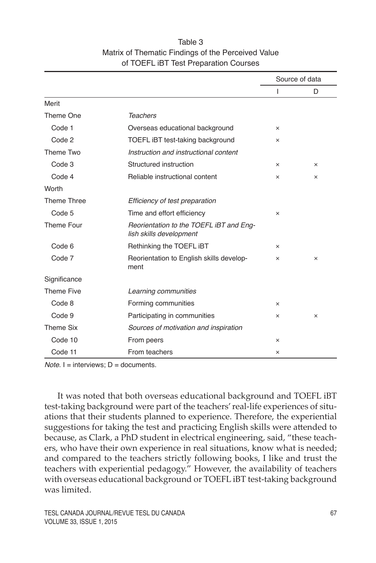#### Table 3 Matrix of Thematic Findings of the Perceived Value of TOEFL iBT Test Preparation Courses

|                  |                                                                    | Source of data |          |
|------------------|--------------------------------------------------------------------|----------------|----------|
|                  |                                                                    | ı              | D        |
| Merit            |                                                                    |                |          |
| Theme One        | <b>Teachers</b>                                                    |                |          |
| Code 1           | Overseas educational background                                    | $\times$       |          |
| Code 2           | TOEFL IBT test-taking background                                   | $\times$       |          |
| Theme Two        | Instruction and instructional content                              |                |          |
| Code 3           | Structured instruction                                             | $\times$       | $\times$ |
| Code 4           | Reliable instructional content                                     | $\times$       | $\times$ |
| Worth            |                                                                    |                |          |
| Theme Three      | Efficiency of test preparation                                     |                |          |
| Code 5           | Time and effort efficiency                                         | $\times$       |          |
| Theme Four       | Reorientation to the TOEFL iBT and Eng-<br>lish skills development |                |          |
| Code 6           | Rethinking the TOEFL IBT                                           | $\times$       |          |
| Code 7           | Reorientation to English skills develop-<br>ment                   | $\times$       | $\times$ |
| Significance     |                                                                    |                |          |
| Theme Five       | Learning communities                                               |                |          |
| Code 8           | Forming communities                                                | $\times$       |          |
| Code 9           | Participating in communities                                       | $\times$       | ×        |
| <b>Theme Six</b> | Sources of motivation and inspiration                              |                |          |
| Code 10          | From peers                                                         | $\times$       |          |
| Code 11          | From teachers                                                      | $\times$       |          |

*Note*. I = interviews; D = documents.

It was noted that both overseas educational background and TOEFL iBT test-taking background were part of the teachers' real-life experiences of situations that their students planned to experience. Therefore, the experiential suggestions for taking the test and practicing English skills were attended to because, as Clark, a PhD student in electrical engineering, said, "these teachers, who have their own experience in real situations, know what is needed; and compared to the teachers strictly following books, I like and trust the teachers with experiential pedagogy." However, the availability of teachers with overseas educational background or TOEFL iBT test-taking background was limited.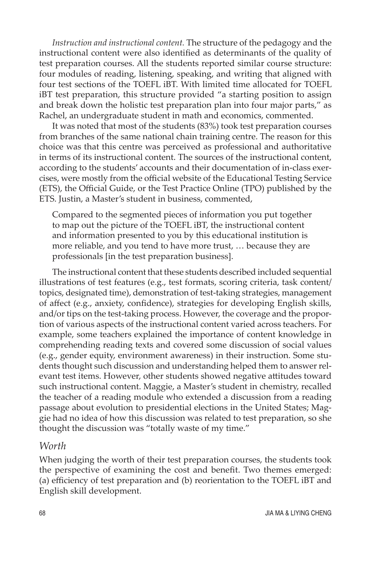*Instruction and instructional content.* The structure of the pedagogy and the instructional content were also identified as determinants of the quality of test preparation courses. All the students reported similar course structure: four modules of reading, listening, speaking, and writing that aligned with four test sections of the TOEFL iBT. With limited time allocated for TOEFL iBT test preparation, this structure provided "a starting position to assign and break down the holistic test preparation plan into four major parts," as Rachel, an undergraduate student in math and economics, commented.

It was noted that most of the students (83%) took test preparation courses from branches of the same national chain training centre. The reason for this choice was that this centre was perceived as professional and authoritative in terms of its instructional content. The sources of the instructional content, according to the students' accounts and their documentation of in-class exercises, were mostly from the official website of the Educational Testing Service (ETS), the Official Guide, or the Test Practice Online (TPO) published by the ETS. Justin, a Master's student in business, commented,

Compared to the segmented pieces of information you put together to map out the picture of the TOEFL iBT, the instructional content and information presented to you by this educational institution is more reliable, and you tend to have more trust, … because they are professionals [in the test preparation business].

The instructional content that these students described included sequential illustrations of test features (e.g., test formats, scoring criteria, task content/ topics, designated time), demonstration of test-taking strategies, management of affect (e.g., anxiety, confidence), strategies for developing English skills, and/or tips on the test-taking process. However, the coverage and the proportion of various aspects of the instructional content varied across teachers. For example, some teachers explained the importance of content knowledge in comprehending reading texts and covered some discussion of social values (e.g., gender equity, environment awareness) in their instruction. Some students thought such discussion and understanding helped them to answer relevant test items. However, other students showed negative attitudes toward such instructional content. Maggie, a Master's student in chemistry, recalled the teacher of a reading module who extended a discussion from a reading passage about evolution to presidential elections in the United States; Maggie had no idea of how this discussion was related to test preparation, so she thought the discussion was "totally waste of my time."

#### *Worth*

When judging the worth of their test preparation courses, the students took the perspective of examining the cost and benefit. Two themes emerged: (a) efficiency of test preparation and (b) reorientation to the TOEFL iBT and English skill development.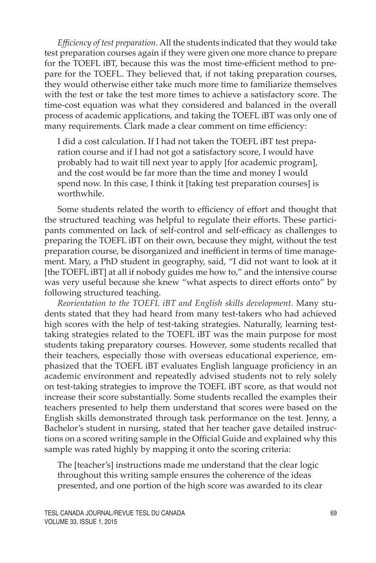*Efficiency of test preparation*. All the students indicated that they would take test preparation courses again if they were given one more chance to prepare for the TOEFL iBT, because this was the most time-efficient method to prepare for the TOEFL. They believed that, if not taking preparation courses, they would otherwise either take much more time to familiarize themselves with the test or take the test more times to achieve a satisfactory score. The time-cost equation was what they considered and balanced in the overall process of academic applications, and taking the TOEFL iBT was only one of many requirements. Clark made a clear comment on time efficiency:

I did a cost calculation. If I had not taken the TOEFL iBT test preparation course and if I had not got a satisfactory score, I would have probably had to wait till next year to apply [for academic program], and the cost would be far more than the time and money I would spend now. In this case, I think it [taking test preparation courses] is worthwhile.

Some students related the worth to efficiency of effort and thought that the structured teaching was helpful to regulate their efforts. These participants commented on lack of self-control and self-efficacy as challenges to preparing the TOEFL iBT on their own, because they might, without the test preparation course, be disorganized and inefficient in terms of time management. Mary, a PhD student in geography, said, "I did not want to look at it [the TOEFL iBT] at all if nobody guides me how to," and the intensive course was very useful because she knew "what aspects to direct efforts onto" by following structured teaching.

*Reorientation to the TOEFL iBT and English skills development.* Many students stated that they had heard from many test-takers who had achieved high scores with the help of test-taking strategies. Naturally, learning testtaking strategies related to the TOEFL iBT was the main purpose for most students taking preparatory courses. However, some students recalled that their teachers, especially those with overseas educational experience, emphasized that the TOEFL iBT evaluates English language proficiency in an academic environment and repeatedly advised students not to rely solely on test-taking strategies to improve the TOEFL iBT score, as that would not increase their score substantially. Some students recalled the examples their teachers presented to help them understand that scores were based on the English skills demonstrated through task performance on the test. Jenny, a Bachelor's student in nursing, stated that her teacher gave detailed instructions on a scored writing sample in the Official Guide and explained why this sample was rated highly by mapping it onto the scoring criteria:

The [teacher's] instructions made me understand that the clear logic throughout this writing sample ensures the coherence of the ideas presented, and one portion of the high score was awarded to its clear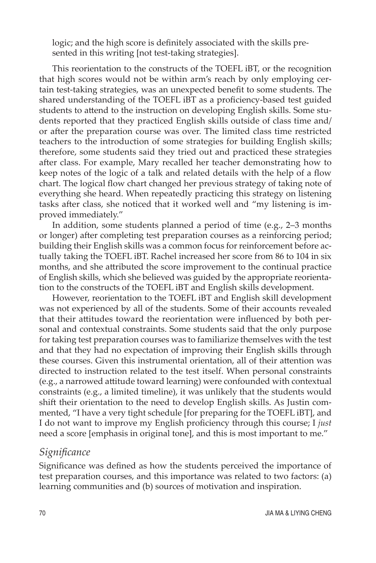logic; and the high score is definitely associated with the skills presented in this writing [not test-taking strategies].

This reorientation to the constructs of the TOEFL iBT, or the recognition that high scores would not be within arm's reach by only employing certain test-taking strategies, was an unexpected benefit to some students. The shared understanding of the TOEFL iBT as a proficiency-based test guided students to attend to the instruction on developing English skills. Some students reported that they practiced English skills outside of class time and/ or after the preparation course was over. The limited class time restricted teachers to the introduction of some strategies for building English skills; therefore, some students said they tried out and practiced these strategies after class. For example, Mary recalled her teacher demonstrating how to keep notes of the logic of a talk and related details with the help of a flow chart. The logical flow chart changed her previous strategy of taking note of everything she heard. When repeatedly practicing this strategy on listening tasks after class, she noticed that it worked well and "my listening is improved immediately."

In addition, some students planned a period of time (e.g., 2–3 months or longer) after completing test preparation courses as a reinforcing period; building their English skills was a common focus for reinforcement before actually taking the TOEFL iBT. Rachel increased her score from 86 to 104 in six months, and she attributed the score improvement to the continual practice of English skills, which she believed was guided by the appropriate reorientation to the constructs of the TOEFL iBT and English skills development.

However, reorientation to the TOEFL iBT and English skill development was not experienced by all of the students. Some of their accounts revealed that their attitudes toward the reorientation were influenced by both personal and contextual constraints. Some students said that the only purpose for taking test preparation courses was to familiarize themselves with the test and that they had no expectation of improving their English skills through these courses. Given this instrumental orientation, all of their attention was directed to instruction related to the test itself. When personal constraints (e.g., a narrowed attitude toward learning) were confounded with contextual constraints (e.g., a limited timeline), it was unlikely that the students would shift their orientation to the need to develop English skills. As Justin commented, "I have a very tight schedule [for preparing for the TOEFL iBT], and I do not want to improve my English proficiency through this course; I *just* need a score [emphasis in original tone], and this is most important to me."

#### *Significance*

Significance was defined as how the students perceived the importance of test preparation courses, and this importance was related to two factors: (a) learning communities and (b) sources of motivation and inspiration.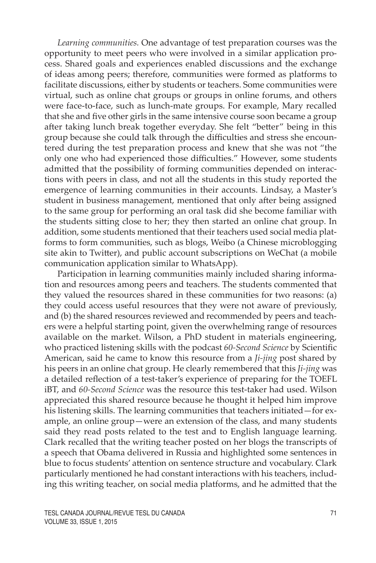*Learning communities.* One advantage of test preparation courses was the opportunity to meet peers who were involved in a similar application process. Shared goals and experiences enabled discussions and the exchange of ideas among peers; therefore, communities were formed as platforms to facilitate discussions, either by students or teachers. Some communities were virtual, such as online chat groups or groups in online forums, and others were face-to-face, such as lunch-mate groups. For example, Mary recalled that she and five other girls in the same intensive course soon became a group after taking lunch break together everyday. She felt "better" being in this group because she could talk through the difficulties and stress she encountered during the test preparation process and knew that she was not "the only one who had experienced those difficulties." However, some students admitted that the possibility of forming communities depended on interactions with peers in class, and not all the students in this study reported the emergence of learning communities in their accounts. Lindsay, a Master's student in business management, mentioned that only after being assigned to the same group for performing an oral task did she become familiar with the students sitting close to her; they then started an online chat group. In addition, some students mentioned that their teachers used social media platforms to form communities, such as blogs, Weibo (a Chinese microblogging site akin to Twitter), and public account subscriptions on WeChat (a mobile communication application similar to WhatsApp).

Participation in learning communities mainly included sharing information and resources among peers and teachers. The students commented that they valued the resources shared in these communities for two reasons: (a) they could access useful resources that they were not aware of previously, and (b) the shared resources reviewed and recommended by peers and teachers were a helpful starting point, given the overwhelming range of resources available on the market. Wilson, a PhD student in materials engineering, who practiced listening skills with the podcast *60-Second Science* by Scientific American, said he came to know this resource from a *Ji-jing* post shared by his peers in an online chat group. He clearly remembered that this *Ji-jing* was a detailed reflection of a test-taker's experience of preparing for the TOEFL iBT, and *60-Second Science* was the resource this test-taker had used. Wilson appreciated this shared resource because he thought it helped him improve his listening skills. The learning communities that teachers initiated—for example, an online group—were an extension of the class, and many students said they read posts related to the test and to English language learning. Clark recalled that the writing teacher posted on her blogs the transcripts of a speech that Obama delivered in Russia and highlighted some sentences in blue to focus students' attention on sentence structure and vocabulary. Clark particularly mentioned he had constant interactions with his teachers, including this writing teacher, on social media platforms, and he admitted that the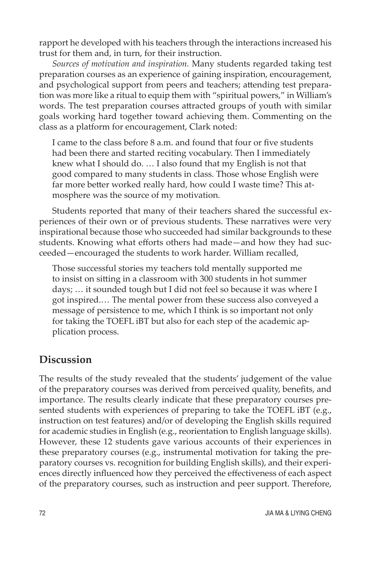rapport he developed with his teachers through the interactions increased his trust for them and, in turn, for their instruction.

*Sources of motivation and inspiration.* Many students regarded taking test preparation courses as an experience of gaining inspiration, encouragement, and psychological support from peers and teachers; attending test preparation was more like a ritual to equip them with "spiritual powers," in William's words. The test preparation courses attracted groups of youth with similar goals working hard together toward achieving them. Commenting on the class as a platform for encouragement, Clark noted:

I came to the class before 8 a.m. and found that four or five students had been there and started reciting vocabulary. Then I immediately knew what I should do. … I also found that my English is not that good compared to many students in class. Those whose English were far more better worked really hard, how could I waste time? This atmosphere was the source of my motivation.

Students reported that many of their teachers shared the successful experiences of their own or of previous students. These narratives were very inspirational because those who succeeded had similar backgrounds to these students. Knowing what efforts others had made—and how they had succeeded—encouraged the students to work harder. William recalled,

Those successful stories my teachers told mentally supported me to insist on sitting in a classroom with 300 students in hot summer days; … it sounded tough but I did not feel so because it was where I got inspired.… The mental power from these success also conveyed a message of persistence to me, which I think is so important not only for taking the TOEFL iBT but also for each step of the academic application process.

# **Discussion**

The results of the study revealed that the students' judgement of the value of the preparatory courses was derived from perceived quality, benefits, and importance. The results clearly indicate that these preparatory courses presented students with experiences of preparing to take the TOEFL iBT (e.g., instruction on test features) and/or of developing the English skills required for academic studies in English (e.g., reorientation to English language skills). However, these 12 students gave various accounts of their experiences in these preparatory courses (e.g., instrumental motivation for taking the preparatory courses vs. recognition for building English skills), and their experiences directly influenced how they perceived the effectiveness of each aspect of the preparatory courses, such as instruction and peer support. Therefore,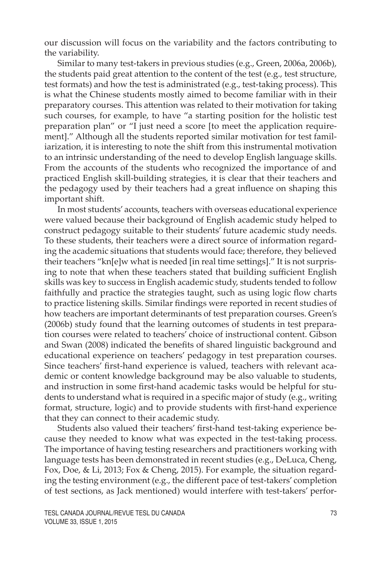our discussion will focus on the variability and the factors contributing to the variability.

Similar to many test-takers in previous studies (e.g., Green, 2006a, 2006b), the students paid great attention to the content of the test (e.g., test structure, test formats) and how the test is administrated (e.g., test-taking process). This is what the Chinese students mostly aimed to become familiar with in their preparatory courses. This attention was related to their motivation for taking such courses, for example, to have "a starting position for the holistic test preparation plan" or "I just need a score [to meet the application requirement]." Although all the students reported similar motivation for test familiarization, it is interesting to note the shift from this instrumental motivation to an intrinsic understanding of the need to develop English language skills. From the accounts of the students who recognized the importance of and practiced English skill-building strategies, it is clear that their teachers and the pedagogy used by their teachers had a great influence on shaping this important shift.

In most students' accounts, teachers with overseas educational experience were valued because their background of English academic study helped to construct pedagogy suitable to their students' future academic study needs. To these students, their teachers were a direct source of information regarding the academic situations that students would face; therefore, they believed their teachers "kn[e]w what is needed [in real time settings]." It is not surprising to note that when these teachers stated that building sufficient English skills was key to success in English academic study, students tended to follow faithfully and practice the strategies taught, such as using logic flow charts to practice listening skills. Similar findings were reported in recent studies of how teachers are important determinants of test preparation courses. Green's (2006b) study found that the learning outcomes of students in test preparation courses were related to teachers' choice of instructional content. Gibson and Swan (2008) indicated the benefits of shared linguistic background and educational experience on teachers' pedagogy in test preparation courses. Since teachers' first-hand experience is valued, teachers with relevant academic or content knowledge background may be also valuable to students, and instruction in some first-hand academic tasks would be helpful for students to understand what is required in a specific major of study (e.g., writing format, structure, logic) and to provide students with first-hand experience that they can connect to their academic study.

Students also valued their teachers' first-hand test-taking experience because they needed to know what was expected in the test-taking process. The importance of having testing researchers and practitioners working with language tests has been demonstrated in recent studies (e.g., DeLuca, Cheng, Fox, Doe, & Li, 2013; Fox & Cheng, 2015). For example, the situation regarding the testing environment (e.g., the different pace of test-takers' completion of test sections, as Jack mentioned) would interfere with test-takers' perfor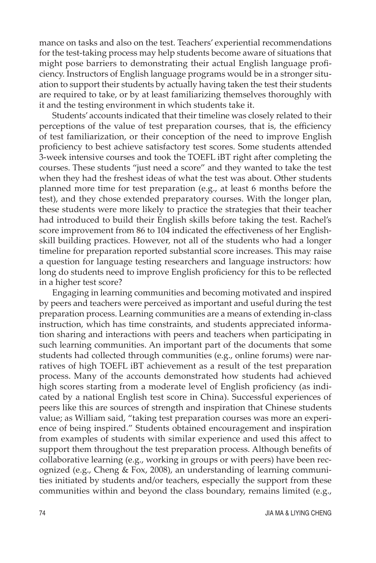mance on tasks and also on the test. Teachers' experiential recommendations for the test-taking process may help students become aware of situations that might pose barriers to demonstrating their actual English language proficiency. Instructors of English language programs would be in a stronger situation to support their students by actually having taken the test their students are required to take, or by at least familiarizing themselves thoroughly with it and the testing environment in which students take it.

Students' accounts indicated that their timeline was closely related to their perceptions of the value of test preparation courses, that is, the efficiency of test familiarization, or their conception of the need to improve English proficiency to best achieve satisfactory test scores. Some students attended 3-week intensive courses and took the TOEFL iBT right after completing the courses. These students "just need a score" and they wanted to take the test when they had the freshest ideas of what the test was about. Other students planned more time for test preparation (e.g., at least 6 months before the test), and they chose extended preparatory courses. With the longer plan, these students were more likely to practice the strategies that their teacher had introduced to build their English skills before taking the test. Rachel's score improvement from 86 to 104 indicated the effectiveness of her Englishskill building practices. However, not all of the students who had a longer timeline for preparation reported substantial score increases. This may raise a question for language testing researchers and language instructors: how long do students need to improve English proficiency for this to be reflected in a higher test score?

Engaging in learning communities and becoming motivated and inspired by peers and teachers were perceived as important and useful during the test preparation process. Learning communities are a means of extending in-class instruction, which has time constraints, and students appreciated information sharing and interactions with peers and teachers when participating in such learning communities. An important part of the documents that some students had collected through communities (e.g., online forums) were narratives of high TOEFL iBT achievement as a result of the test preparation process. Many of the accounts demonstrated how students had achieved high scores starting from a moderate level of English proficiency (as indicated by a national English test score in China). Successful experiences of peers like this are sources of strength and inspiration that Chinese students value; as William said, "taking test preparation courses was more an experience of being inspired." Students obtained encouragement and inspiration from examples of students with similar experience and used this affect to support them throughout the test preparation process. Although benefits of collaborative learning (e.g., working in groups or with peers) have been recognized (e.g., Cheng & Fox, 2008), an understanding of learning communities initiated by students and/or teachers, especially the support from these communities within and beyond the class boundary, remains limited (e.g.,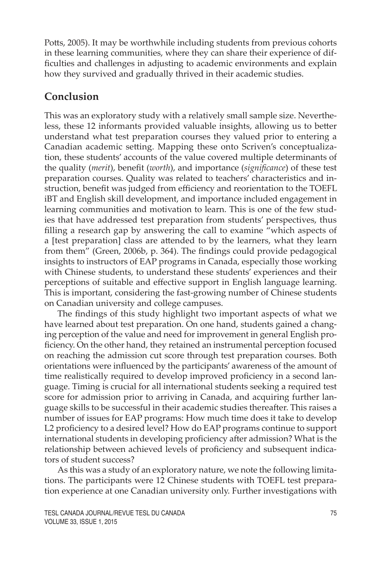Potts, 2005). It may be worthwhile including students from previous cohorts in these learning communities, where they can share their experience of difficulties and challenges in adjusting to academic environments and explain how they survived and gradually thrived in their academic studies.

# **Conclusion**

This was an exploratory study with a relatively small sample size. Nevertheless, these 12 informants provided valuable insights, allowing us to better understand what test preparation courses they valued prior to entering a Canadian academic setting. Mapping these onto Scriven's conceptualization, these students' accounts of the value covered multiple determinants of the quality (*merit*), benefit (*worth*), and importance (*significance*) of these test preparation courses. Quality was related to teachers' characteristics and instruction, benefit was judged from efficiency and reorientation to the TOEFL iBT and English skill development, and importance included engagement in learning communities and motivation to learn. This is one of the few studies that have addressed test preparation from students' perspectives, thus filling a research gap by answering the call to examine "which aspects of a [test preparation] class are attended to by the learners, what they learn from them" (Green, 2006b, p. 364). The findings could provide pedagogical insights to instructors of EAP programs in Canada, especially those working with Chinese students, to understand these students' experiences and their perceptions of suitable and effective support in English language learning. This is important, considering the fast-growing number of Chinese students on Canadian university and college campuses.

The findings of this study highlight two important aspects of what we have learned about test preparation. On one hand, students gained a changing perception of the value and need for improvement in general English proficiency. On the other hand, they retained an instrumental perception focused on reaching the admission cut score through test preparation courses. Both orientations were influenced by the participants' awareness of the amount of time realistically required to develop improved proficiency in a second language. Timing is crucial for all international students seeking a required test score for admission prior to arriving in Canada, and acquiring further language skills to be successful in their academic studies thereafter. This raises a number of issues for EAP programs: How much time does it take to develop L2 proficiency to a desired level? How do EAP programs continue to support international students in developing proficiency after admission? What is the relationship between achieved levels of proficiency and subsequent indicators of student success?

As this was a study of an exploratory nature, we note the following limitations. The participants were 12 Chinese students with TOEFL test preparation experience at one Canadian university only. Further investigations with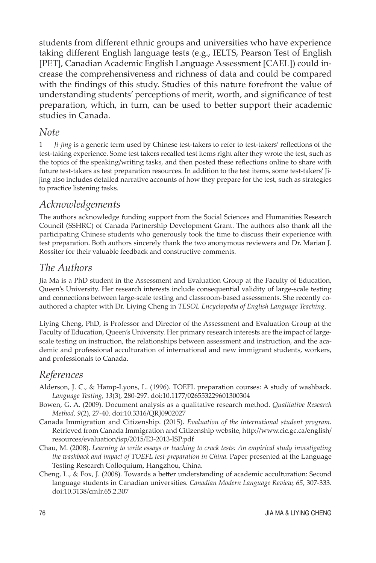students from different ethnic groups and universities who have experience taking different English language tests (e.g., IELTS, Pearson Test of English [PET], Canadian Academic English Language Assessment [CAEL]) could increase the comprehensiveness and richness of data and could be compared with the findings of this study. Studies of this nature forefront the value of understanding students' perceptions of merit, worth, and significance of test preparation, which, in turn, can be used to better support their academic studies in Canada.

#### *Note*

1 *Ji-jing* is a generic term used by Chinese test-takers to refer to test-takers' reflections of the test-taking experience. Some test takers recalled test items right after they wrote the test, such as the topics of the speaking/writing tasks, and then posted these reflections online to share with future test-takers as test preparation resources. In addition to the test items, some test-takers' Jijing also includes detailed narrative accounts of how they prepare for the test, such as strategies to practice listening tasks.

### *Acknowledgements*

The authors acknowledge funding support from the Social Sciences and Humanities Research Council (SSHRC) of Canada Partnership Development Grant. The authors also thank all the participating Chinese students who generously took the time to discuss their experience with test preparation. Both authors sincerely thank the two anonymous reviewers and Dr. Marian J. Rossiter for their valuable feedback and constructive comments.

### *The Authors*

Jia Ma is a PhD student in the Assessment and Evaluation Group at the Faculty of Education, Queen's University. Her research interests include consequential validity of large-scale testing and connections between large-scale testing and classroom-based assessments. She recently coauthored a chapter with Dr. Liying Cheng in *TESOL Encyclopedia of English Language Teaching*.

Liying Cheng, PhD, is Professor and Director of the Assessment and Evaluation Group at the Faculty of Education, Queen's University. Her primary research interests are the impact of largescale testing on instruction, the relationships between assessment and instruction, and the academic and professional acculturation of international and new immigrant students, workers, and professionals to Canada.

# *References*

- Alderson, J. C., & Hamp-Lyons, L. (1996). TOEFL preparation courses: A study of washback. *Language Testing, 13*(3)*,* 280-297. doi:10.1177/026553229601300304
- Bowen, G. A. (2009). Document analysis as a qualitative research method. *Qualitative Research Method, 9*(2), 27-40. doi:10.3316/QRJ0902027
- Canada Immigration and Citizenship. (2015). *Evaluation of the international student program*. Retrieved from Canada Immigration and Citizenship website, http://www.cic.gc.ca/english/ resources/evaluation/isp/2015/E3-2013-ISP.pdf
- Chau, M. (2008). *Learning to write essays or teaching to crack tests: An empirical study investigating the washback and impact of TOEFL test-preparation in China.* Paper presented at the Language Testing Research Colloquium, Hangzhou, China.
- Cheng, L., & Fox, J. (2008). Towards a better understanding of academic acculturation: Second language students in Canadian universities. *Canadian Modern Language Review, 65*, 307-333. doi:10.3138/cmlr.65.2.307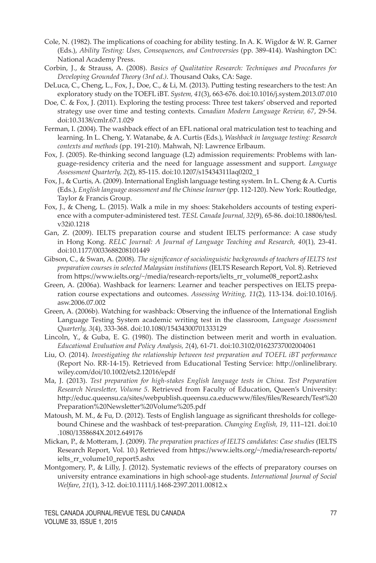- Cole, N. (1982). The implications of coaching for ability testing. In A. K. Wigdor & W. R. Garner (Eds.), *Ability Testing: Uses, Consequences, and Controversies* (pp. 389-414). Washington DC: National Academy Press.
- Corbin, J., & Strauss, A. (2008). *Basics of Qualitative Research: Techniques and Procedures for Developing Grounded Theory (3rd ed.)*. Thousand Oaks, CA: Sage.
- DeLuca, C., Cheng, L., Fox, J., Doe, C., & Li, M. (2013). Putting testing researchers to the test: An exploratory study on the TOEFL iBT. *System, 41*(3), 663-676. doi:10.1016/j.system.2013.07.010
- Doe, C. & Fox, J. (2011). Exploring the testing process: Three test takers' observed and reported strategy use over time and testing contexts. *Canadian Modern Language Review, 67*, 29-54. doi:10.3138/cmlr.67.1.029
- Ferman, I. (2004). The washback effect of an EFL national oral matriculation test to teaching and learning. In L. Cheng, Y. Watanabe, & A. Curtis (Eds.), *Washback in language testing: Research contexts and methods* (pp. 191-210). Mahwah, NJ: Lawrence Erlbaum.
- Fox, J. (2005). Re-thinking second language (L2) admission requirements: Problems with language-residency criteria and the need for language assessment and support. *Language Assessment Quarterly, 2*(2), 85-115. doi:10.1207/s15434311laq0202\_1
- Fox, J., & Curtis, A. (2009). International English language testing system. In L. Cheng & A. Curtis (Eds.), *English language assessment and the Chinese learner* (pp. 112-120). New York: Routledge, Taylor & Francis Group.
- Fox, J., & Cheng, L. (2015). Walk a mile in my shoes: Stakeholders accounts of testing experience with a computer-administered test. *TESL Canada Journal, 32*(9), 65-86. doi:10.18806/tesl. v32i0.1218
- Gan, Z. (2009). IELTS preparation course and student IELTS performance: A case study in Hong Kong. *RELC Journal: A Journal of Language Teaching and Research, 40*(1)*,* 23-41. doi:10.1177/0033688208101449
- Gibson, C., & Swan, A. (2008). *The significance of sociolinguistic backgrounds of teachers of IELTS test preparation courses in selected Malaysian institutions* (IELTS Research Report, Vol. 8). Retrieved from https://www.ielts.org/~/media/research-reports/ielts\_rr\_volume08\_report2.ashx
- Green, A. (2006a). Washback for learners: Learner and teacher perspectives on IELTS preparation course expectations and outcomes. *Assessing Writing, 11*(2)*,* 113-134. doi:10.1016/j. asw.2006.07.002
- Green, A. (2006b). Watching for washback: Observing the influence of the International English Language Testing System academic writing test in the classroom, *Language Assessment Quarterly, 3*(4), 333-368. doi:10.1080/15434300701333129
- Lincoln, Y., & Guba, E. G. (1980). The distinction between merit and worth in evaluation. *Educational Evaluation and Policy Analysis, 2*(4), 61-71. doi:10.3102/01623737002004061
- Liu, O. (2014). *Investigating the relationship between test preparation and TOEFL iBT performance* (Report No. RR-14-15). Retrieved from Educational Testing Service: http://onlinelibrary. wiley.com/doi/10.1002/ets2.12016/epdf
- Ma, J. (2013). *Test preparation for high-stakes English language tests in China. Test Preparation Research Newsletter, Volume 5*. Retrieved from Faculty of Education, Queen's University: http://educ.queensu.ca/sites/webpublish.queensu.ca.educwww/files/files/Research/Test%20 Preparation%20Newsletter%20Volume%205.pdf
- Matoush, M. M., & Fu, D. (2012). Tests of English language as significant thresholds for collegebound Chinese and the washback of test-preparation. *Changing English, 19*, 111–121. doi:10 .1080/1358684X.2012.649176
- Mickan, P., & Motteram, J. (2009). *The preparation practices of IELTS candidates: Case studies* (IELTS Research Report, Vol. 10.) Retrieved from https://www.ielts.org/~/media/research-reports/ ielts\_rr\_volume10\_report5.ashx
- Montgomery, P., & Lilly, J. (2012). Systematic reviews of the effects of preparatory courses on university entrance examinations in high school-age students. *International Journal of Social Welfare*, *21*(1), 3-12. doi:10.1111/j.1468-2397.2011.00812.x

TESL CANADA JOURNAL/REVUE TESL DU CANADA 77 Volume 33, issue 1, 2015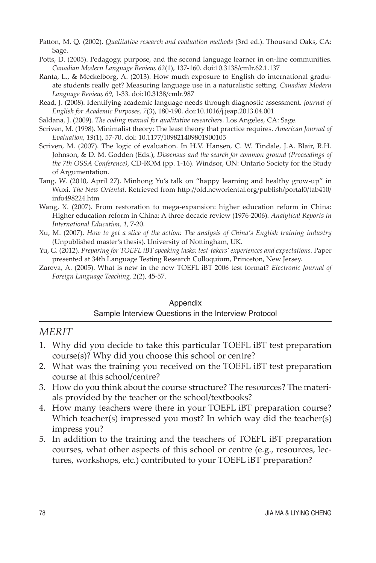- Patton, M. Q. (2002). *Qualitative research and evaluation methods* (3rd ed.). Thousand Oaks, CA: Sage.
- Potts, D. (2005). Pedagogy, purpose, and the second language learner in on-line communities. *Canadian Modern Language Review, 62*(1), 137-160. doi:10.3138/cmlr.62.1.137
- Ranta, L., & Meckelborg, A. (2013). How much exposure to English do international graduate students really get? Measuring language use in a naturalistic setting. *Canadian Modern Language Review, 69*, 1-33. doi:10.3138/cmlr.987
- Read, J. (2008). Identifying academic language needs through diagnostic assessment. *Journal of English for Academic Purposes, 7*(3), 180-190. doi:10.1016/j.jeap.2013.04.001
- Saldana, J. (2009). *The coding manual for qualitative researchers.* Los Angeles, CA: Sage.
- Scriven, M. (1998). Minimalist theory: The least theory that practice requires. *American Journal of Evaluation, 19*(1), 57-70. doi: 10.1177/109821409801900105
- Scriven, M. (2007). The logic of evaluation. In H.V. Hansen, C. W. Tindale, J.A. Blair, R.H. Johnson, & D. M. Godden (Eds.), *Dissensus and the search for common ground (Proceedings of the 7th OSSA Conference)*, CD-ROM (pp. 1-16). Windsor, ON: Ontario Society for the Study of Argumentation.
- Tang, W. (2010, April 27). Minhong Yu's talk on "happy learning and healthy grow-up" in Wuxi. *The New Oriental*. Retrieved from http://old.neworiental.org/publish/portal0/tab410/ info498224.htm
- Wang, X. (2007). From restoration to mega-expansion: higher education reform in China: Higher education reform in China: A three decade review (1976-2006). *Analytical Reports in International Education, 1*, 7-20.
- Xu, M. (2007). *How to get a slice of the action: The analysis of China's English training industry* (Unpublished master's thesis). University of Nottingham, UK.
- Yu, G. (2012). *Preparing for TOEFL iBT speaking tasks: test-takers' experiences and expectations.* Paper presented at 34th Language Testing Research Colloquium, Princeton, New Jersey.
- Zareva, A. (2005). What is new in the new TOEFL iBT 2006 test format? *Electronic Journal of Foreign Language Teaching, 2*(2), 45-57.

#### Appendix

#### Sample Interview Questions in the Interview Protocol

#### *MERIT*

- 1. Why did you decide to take this particular TOEFL iBT test preparation course(s)? Why did you choose this school or centre?
- 2. What was the training you received on the TOEFL iBT test preparation course at this school/centre?
- 3. How do you think about the course structure? The resources? The materials provided by the teacher or the school/textbooks?
- 4. How many teachers were there in your TOEFL iBT preparation course? Which teacher(s) impressed you most? In which way did the teacher(s) impress you?
- 5. In addition to the training and the teachers of TOEFL iBT preparation courses, what other aspects of this school or centre (e.g., resources, lectures, workshops, etc.) contributed to your TOEFL iBT preparation?